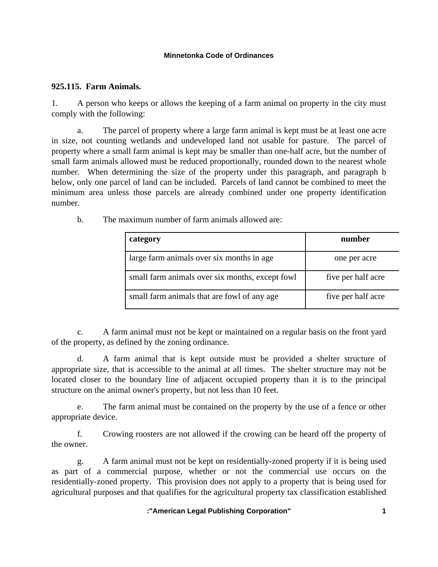## **Minnetonka Code of Ordinances**

## **925.115. Farm Animals.**

1. A person who keeps or allows the keeping of a farm animal on property in the city must comply with the following:

 a. The parcel of property where a large farm animal is kept must be at least one acre in size, not counting wetlands and undeveloped land not usable for pasture. The parcel of property where a small farm animal is kept may be smaller than one-half acre, but the number of small farm animals allowed must be reduced proportionally, rounded down to the nearest whole number. When determining the size of the property under this paragraph, and paragraph b below, only one parcel of land can be included. Parcels of land cannot be combined to meet the minimum area unless those parcels are already combined under one property identification number.

| category                                        | number             |
|-------------------------------------------------|--------------------|
| large farm animals over six months in age.      | one per acre       |
| small farm animals over six months, except fowl | five per half acre |
| small farm animals that are fowl of any age     | five per half acre |

b. The maximum number of farm animals allowed are:

 c. A farm animal must not be kept or maintained on a regular basis on the front yard of the property, as defined by the zoning ordinance.

 d. A farm animal that is kept outside must be provided a shelter structure of appropriate size, that is accessible to the animal at all times. The shelter structure may not be located closer to the boundary line of adjacent occupied property than it is to the principal structure on the animal owner's property, but not less than 10 feet.

 e. The farm animal must be contained on the property by the use of a fence or other appropriate device.

 f. Crowing roosters are not allowed if the crowing can be heard off the property of the owner.

 g. A farm animal must not be kept on residentially-zoned property if it is being used as part of a commercial purpose, whether or not the commercial use occurs on the residentially-zoned property. This provision does not apply to a property that is being used for agricultural purposes and that qualifies for the agricultural property tax classification established

## **:"American Legal Publishing Corporation" 1**